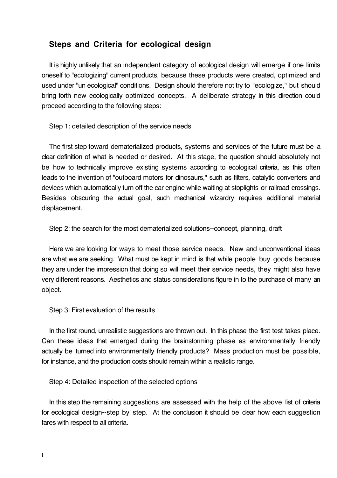## **Steps and Criteria for ecological design**

It is highly unlikely that an independent category of ecological design will emerge if one limits oneself to "ecologizing" current products, because these products were created, optimized and used under "un ecological" conditions. Design should therefore not try to "ecologize," but should bring forth new ecologically optimized concepts. A deliberate strategy in this direction could proceed according to the following steps:

Step 1: detailed description of the service needs

The first step toward dematerialized products, systems and services of the future must be a clear definition of what is needed or desired. At this stage, the question should absolutely not be how to technically improve existing systems according to ecological criteria, as this often leads to the invention of "outboard motors for dinosaurs," such as filters, catalytic converters and devices which automatically turn off the car engine while waiting at stoplights or railroad crossings. Besides obscuring the actual goal, such mechanical wizardry requires additional material displacement.

Step 2: the search for the most dematerialized solutions--concept, planning, draft

Here we are looking for ways to meet those service needs. New and unconventional ideas are what we are seeking. What must be kept in mind is that while people buy goods because they are under the impression that doing so will meet their service needs, they might also have very different reasons. Aesthetics and status considerations figure in to the purchase of many an object.

Step 3: First evaluation of the results

In the first round, unrealistic suggestions are thrown out. In this phase the first test takes place. Can these ideas that emerged during the brainstorming phase as environmentally friendly actually be turned into environmentally friendly products? Mass production must be possible, for instance, and the production costs should remain within a realistic range.

Step 4: Detailed inspection of the selected options

In this step the remaining suggestions are assessed with the help of the above list of criteria for ecological design--step by step. At the conclusion it should be clear how each suggestion fares with respect to all criteria.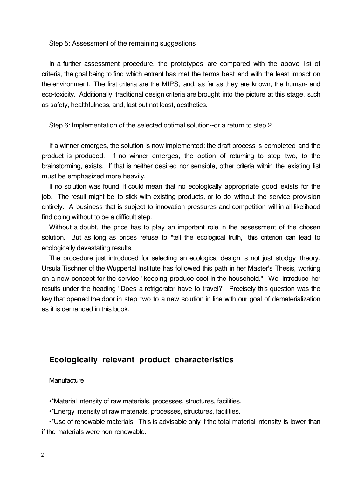### Step 5: Assessment of the remaining suggestions

In a further assessment procedure, the prototypes are compared with the above list of criteria, the goal being to find which entrant has met the terms best and with the least impact on the environment. The first criteria are the MIPS, and, as far as they are known, the human- and eco-toxicity. Additionally, traditional design criteria are brought into the picture at this stage, such as safety, healthfulness, and, last but not least, aesthetics.

Step 6: Implementation of the selected optimal solution--or a return to step 2

If a winner emerges, the solution is now implemented; the draft process is completed and the product is produced. If no winner emerges, the option of returning to step two, to the brainstorming, exists. If that is neither desired nor sensible, other criteria within the existing list must be emphasized more heavily.

If no solution was found, it could mean that no ecologically appropriate good exists for the job. The result might be to stick with existing products, or to do without the service provision entirely. A business that is subject to innovation pressures and competition will in all likelihood find doing without to be a difficult step.

Without a doubt, the price has to play an important role in the assessment of the chosen solution. But as long as prices refuse to "tell the ecological truth," this criterion can lead to ecologically devastating results.

The procedure just introduced for selecting an ecological design is not just stodgy theory. Ursula Tischner of the Wuppertal Institute has followed this path in her Master's Thesis, working on a new concept for the service "keeping produce cool in the household." We introduce her results under the heading "Does a refrigerator have to travel?" Precisely this question was the key that opened the door in step two to a new solution in line with our goal of dematerialization as it is demanded in this book.

# **Ecologically relevant product characteristics**

#### **Manufacture**

•\*Material intensity of raw materials, processes, structures, facilities.

•\*Energy intensity of raw materials, processes, structures, facilities.

•\*Use of renewable materials. This is advisable only if the total material intensity is lower than if the materials were non-renewable.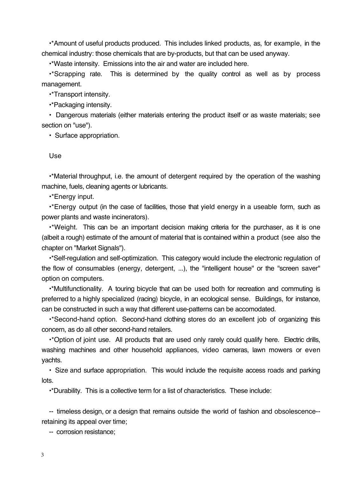•\*Amount of useful products produced. This includes linked products, as, for example, in the chemical industry: those chemicals that are by-products, but that can be used anyway.

•\*Waste intensity. Emissions into the air and water are included here.

•\*Scrapping rate. This is determined by the quality control as well as by process management.

•\*Transport intensity.

•\*Packaging intensity.

• Dangerous materials (either materials entering the product itself or as waste materials; see section on "use").

• Surface appropriation.

#### Use

•\*Material throughput, i.e. the amount of detergent required by the operation of the washing machine, fuels, cleaning agents or lubricants.

•\*Energy input.

•\*Energy output (in the case of facilities, those that yield energy in a useable form, such as power plants and waste incinerators).

•\*Weight. This can be an important decision making criteria for the purchaser, as it is one (albeit a rough) estimate of the amount of material that is contained within a product (see also the chapter on "Market Signals").

•\*Self-regulation and self-optimization. This category would include the electronic regulation of the flow of consumables (energy, detergent, ...), the "intelligent house" or the "screen saver" option on computers.

•\*Multifunctionality. A touring bicycle that can be used both for recreation and commuting is preferred to a highly specialized (racing) bicycle, in an ecological sense. Buildings, for instance, can be constructed in such a way that different use-patterns can be accomodated.

•\*Second-hand option. Second-hand clothing stores do an excellent job of organizing this concern, as do all other second-hand retailers.

•\*Option of joint use. All products that are used only rarely could qualify here. Electric drills, washing machines and other household appliances, video cameras, lawn mowers or even yachts.

• Size and surface appropriation. This would include the requisite access roads and parking lots.

•\*Durability. This is a collective term for a list of characteristics. These include:

-- timeless design, or a design that remains outside the world of fashion and obsolescence- retaining its appeal over time;

-- corrosion resistance;

3